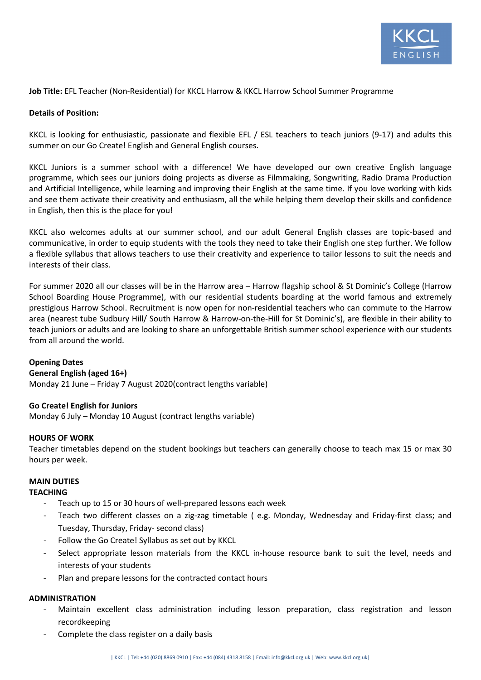

## **Job Title:** EFL Teacher (Non-Residential) for KKCL Harrow & KKCL Harrow School Summer Programme

## **Details of Position:**

KKCL is looking for enthusiastic, passionate and flexible EFL / ESL teachers to teach juniors (9-17) and adults this summer on our Go Create! English and General English courses.

KKCL Juniors is a summer school with a difference! We have developed our own creative English language programme, which sees our juniors doing projects as diverse as Filmmaking, Songwriting, Radio Drama Production and Artificial Intelligence, while learning and improving their English at the same time. If you love working with kids and see them activate their creativity and enthusiasm, all the while helping them develop their skills and confidence in English, then this is the place for you!

KKCL also welcomes adults at our summer school, and our adult General English classes are topic-based and communicative, in order to equip students with the tools they need to take their English one step further. We follow a flexible syllabus that allows teachers to use their creativity and experience to tailor lessons to suit the needs and interests of their class.

For summer 2020 all our classes will be in the Harrow area – Harrow flagship school & St Dominic's College (Harrow School Boarding House Programme), with our residential students boarding at the world famous and extremely prestigious Harrow School. Recruitment is now open for non-residential teachers who can commute to the Harrow area (nearest tube Sudbury Hill/ South Harrow & Harrow-on-the-Hill for St Dominic's), are flexible in their ability to teach juniors or adults and are looking to share an unforgettable British summer school experience with our students from all around the world.

## **Opening Dates**

## **General English (aged 16+)**

Monday 21 June – Friday 7 August 2020(contract lengths variable)

# **Go Create! English for Juniors**

Monday 6 July – Monday 10 August (contract lengths variable)

## **HOURS OF WORK**

Teacher timetables depend on the student bookings but teachers can generally choose to teach max 15 or max 30 hours per week.

# **MAIN DUTIES**

# **TEACHING**

- Teach up to 15 or 30 hours of well-prepared lessons each week
- Teach two different classes on a zig-zag timetable ( e.g. Monday, Wednesday and Friday-first class; and Tuesday, Thursday, Friday- second class)
- Follow the Go Create! Syllabus as set out by KKCL
- Select appropriate lesson materials from the KKCL in-house resource bank to suit the level, needs and interests of your students
- Plan and prepare lessons for the contracted contact hours

## **ADMINISTRATION**

- Maintain excellent class administration including lesson preparation, class registration and lesson recordkeeping
- Complete the class register on a daily basis